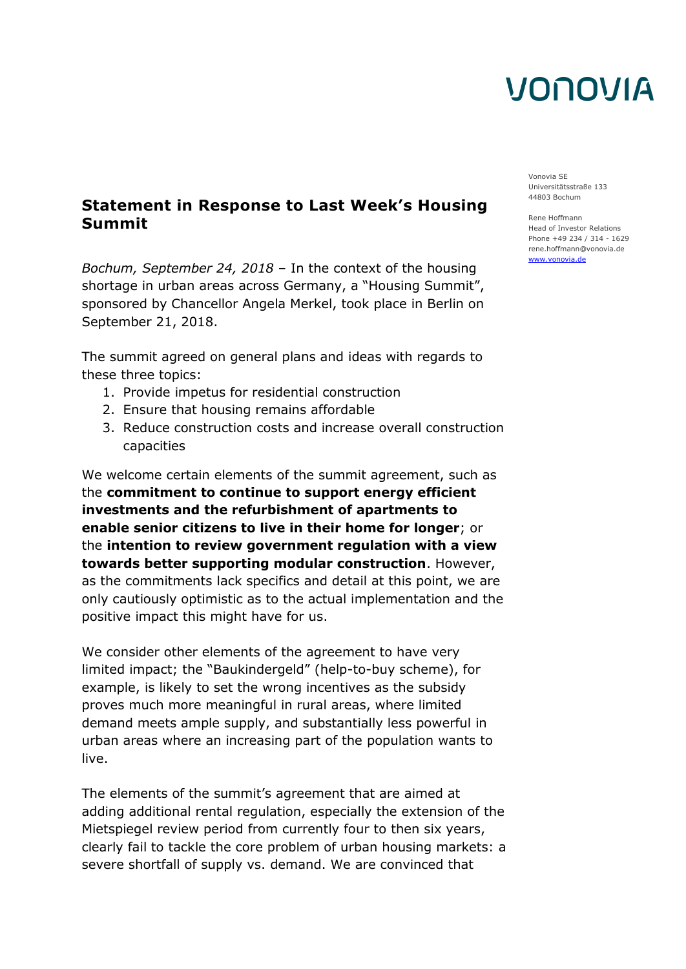Vonovia SE Universitätsstraße 133 44803 Bochum

Rene Hoffmann Head of Investor Relations Phone +49 234 / 314 - 1629 rene.hoffmann@vonovia.de [www.vonovia.de](http://www.vonovia.de/)

### **Statement in Response to Last Week's Housing Summit**

*Bochum, September 24, 2018* – In the context of the housing shortage in urban areas across Germany, a "Housing Summit", sponsored by Chancellor Angela Merkel, took place in Berlin on September 21, 2018.

The summit agreed on general plans and ideas with regards to these three topics:

- 1. Provide impetus for residential construction
- 2. Ensure that housing remains affordable
- 3. Reduce construction costs and increase overall construction capacities

We welcome certain elements of the summit agreement, such as the **commitment to continue to support energy efficient investments and the refurbishment of apartments to enable senior citizens to live in their home for longer**; or the **intention to review government regulation with a view towards better supporting modular construction**. However, as the commitments lack specifics and detail at this point, we are only cautiously optimistic as to the actual implementation and the positive impact this might have for us.

We consider other elements of the agreement to have very limited impact; the "Baukindergeld" (help-to-buy scheme), for example, is likely to set the wrong incentives as the subsidy proves much more meaningful in rural areas, where limited demand meets ample supply, and substantially less powerful in urban areas where an increasing part of the population wants to live.

The elements of the summit's agreement that are aimed at adding additional rental regulation, especially the extension of the Mietspiegel review period from currently four to then six years, clearly fail to tackle the core problem of urban housing markets: a severe shortfall of supply vs. demand. We are convinced that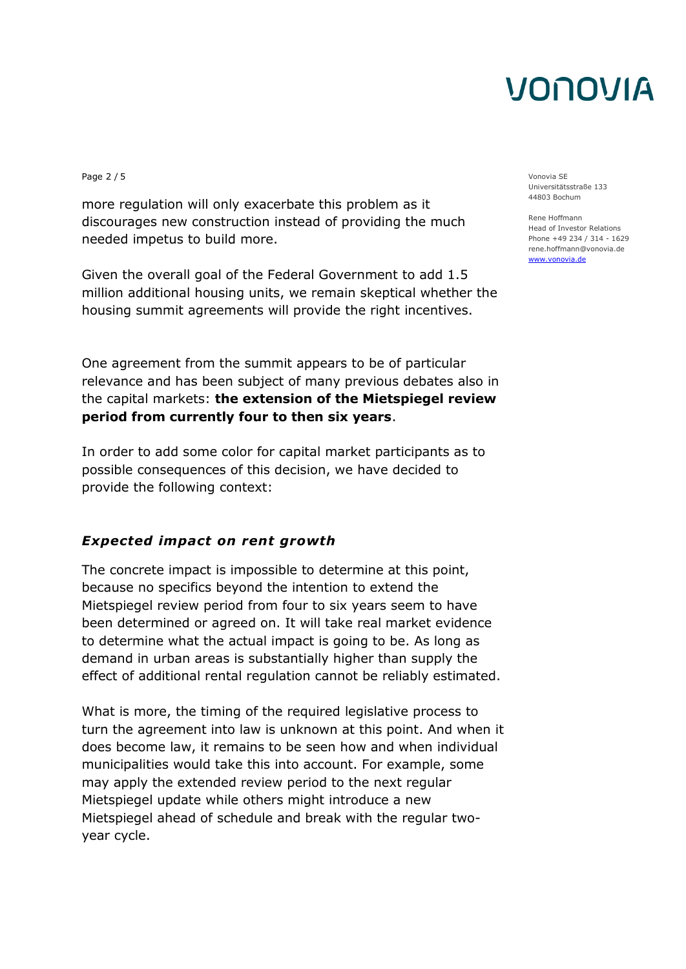Page 2 / 5 Vonovia SE

more regulation will only exacerbate this problem as it discourages new construction instead of providing the much needed impetus to build more.

Given the overall goal of the Federal Government to add 1.5 million additional housing units, we remain skeptical whether the housing summit agreements will provide the right incentives.

One agreement from the summit appears to be of particular relevance and has been subject of many previous debates also in the capital markets: **the extension of the Mietspiegel review period from currently four to then six years**.

In order to add some color for capital market participants as to possible consequences of this decision, we have decided to provide the following context:

### *Expected impact on rent growth*

The concrete impact is impossible to determine at this point, because no specifics beyond the intention to extend the Mietspiegel review period from four to six years seem to have been determined or agreed on. It will take real market evidence to determine what the actual impact is going to be. As long as demand in urban areas is substantially higher than supply the effect of additional rental regulation cannot be reliably estimated.

What is more, the timing of the required legislative process to turn the agreement into law is unknown at this point. And when it does become law, it remains to be seen how and when individual municipalities would take this into account. For example, some may apply the extended review period to the next regular Mietspiegel update while others might introduce a new Mietspiegel ahead of schedule and break with the regular twoyear cycle.

Universitätsstraße 133 44803 Bochum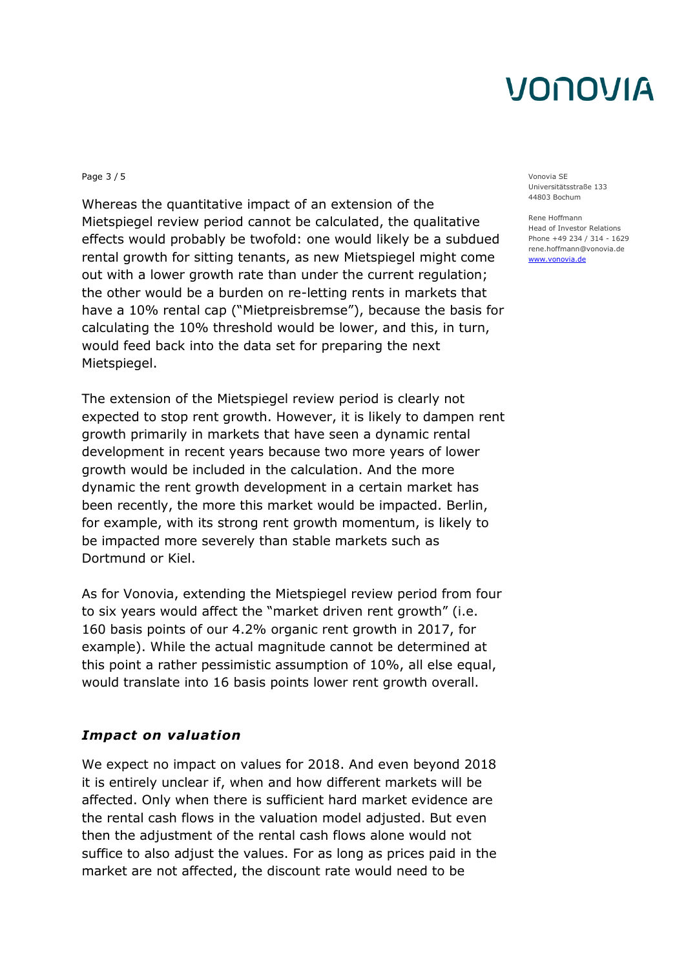Page 3 / 5 Vonovia SE

Whereas the quantitative impact of an extension of the Mietspiegel review period cannot be calculated, the qualitative effects would probably be twofold: one would likely be a subdued rental growth for sitting tenants, as new Mietspiegel might come out with a lower growth rate than under the current regulation; the other would be a burden on re-letting rents in markets that have a 10% rental cap ("Mietpreisbremse"), because the basis for calculating the 10% threshold would be lower, and this, in turn, would feed back into the data set for preparing the next Mietspiegel.

The extension of the Mietspiegel review period is clearly not expected to stop rent growth. However, it is likely to dampen rent growth primarily in markets that have seen a dynamic rental development in recent years because two more years of lower growth would be included in the calculation. And the more dynamic the rent growth development in a certain market has been recently, the more this market would be impacted. Berlin, for example, with its strong rent growth momentum, is likely to be impacted more severely than stable markets such as Dortmund or Kiel.

As for Vonovia, extending the Mietspiegel review period from four to six years would affect the "market driven rent growth" (i.e. 160 basis points of our 4.2% organic rent growth in 2017, for example). While the actual magnitude cannot be determined at this point a rather pessimistic assumption of 10%, all else equal, would translate into 16 basis points lower rent growth overall.

### *Impact on valuation*

We expect no impact on values for 2018. And even beyond 2018 it is entirely unclear if, when and how different markets will be affected. Only when there is sufficient hard market evidence are the rental cash flows in the valuation model adjusted. But even then the adjustment of the rental cash flows alone would not suffice to also adjust the values. For as long as prices paid in the market are not affected, the discount rate would need to be

Universitätsstraße 133 44803 Bochum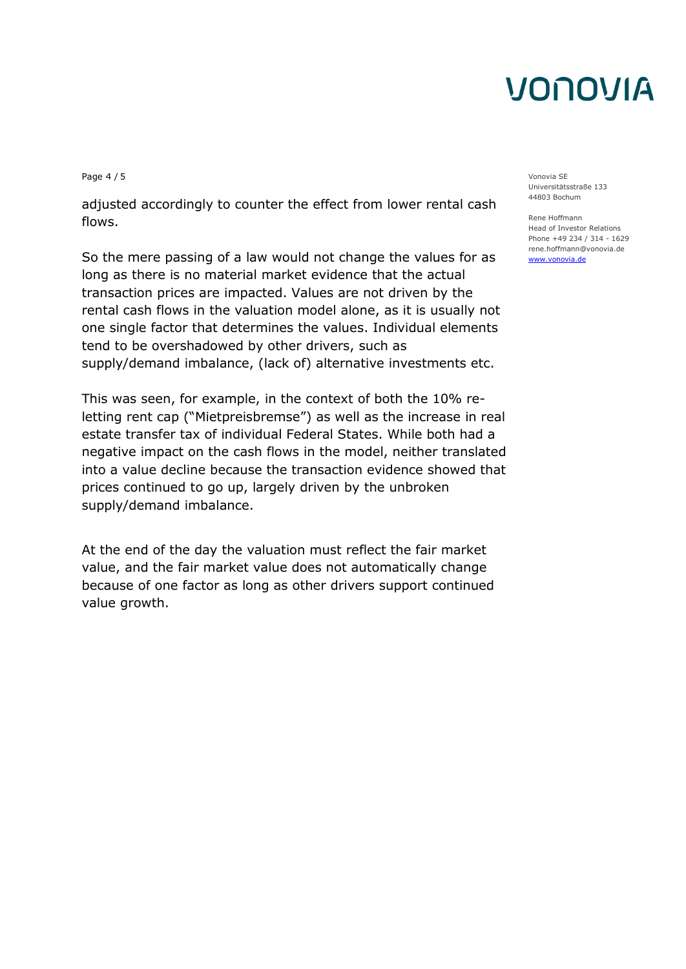Page 4 / 5 Vonovia SE

adjusted accordingly to counter the effect from lower rental cash flows.

So the mere passing of a law would not change the values for as long as there is no material market evidence that the actual transaction prices are impacted. Values are not driven by the rental cash flows in the valuation model alone, as it is usually not one single factor that determines the values. Individual elements tend to be overshadowed by other drivers, such as supply/demand imbalance, (lack of) alternative investments etc.

This was seen, for example, in the context of both the 10% reletting rent cap ("Mietpreisbremse") as well as the increase in real estate transfer tax of individual Federal States. While both had a negative impact on the cash flows in the model, neither translated into a value decline because the transaction evidence showed that prices continued to go up, largely driven by the unbroken supply/demand imbalance.

At the end of the day the valuation must reflect the fair market value, and the fair market value does not automatically change because of one factor as long as other drivers support continued value growth.

Universitätsstraße 133 44803 Bochum